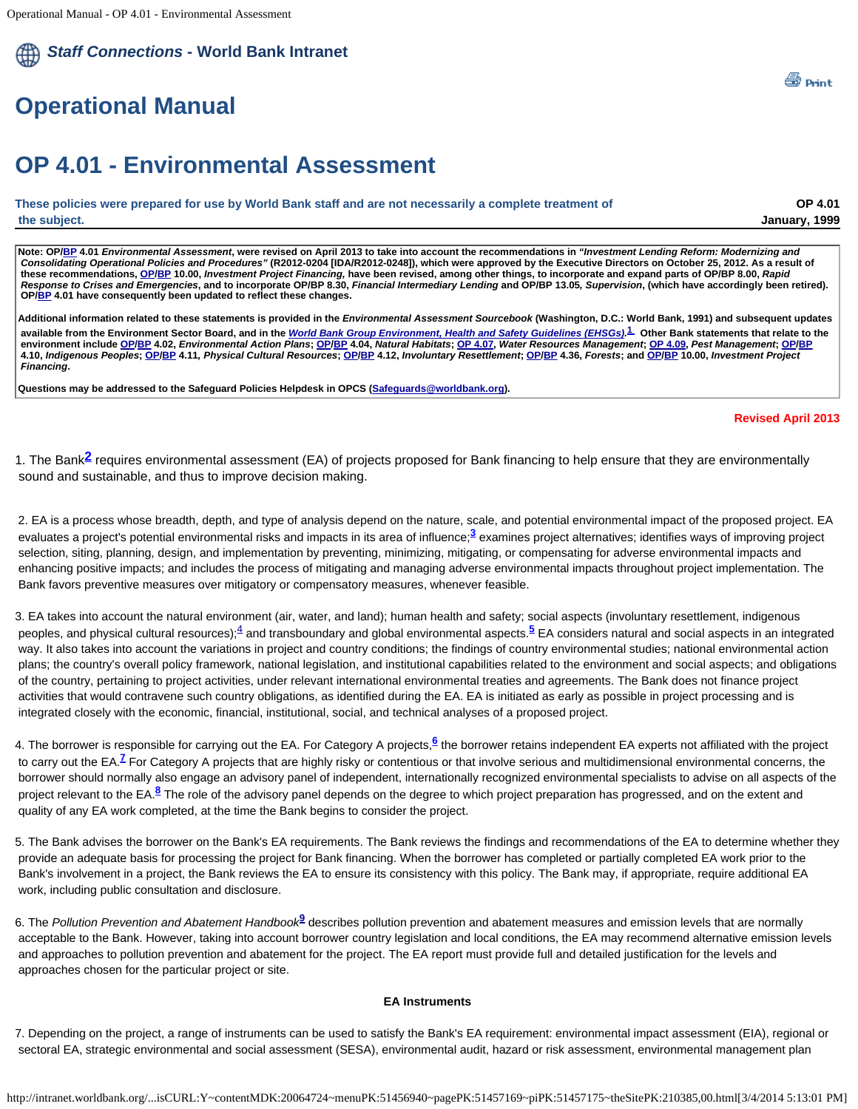# **OP 4.01 - Environmental Assessment**

## **These policies were prepared for use by World Bank staff and are not necessarily a complete treatment of the subject.**

**OP 4.01 January, 1999**

**Note: OP[/BP](http://go.worldbank.org/FAMP3B47B0) 4.01** *Environmental Assessment***, were revised on April 2013 to take into account the recommendations in** *"Investment Lending Reform: Modernizing and Consolidating Operational Policies and Procedures"* **(R2012-0204 [IDA/R2012-0248]), which were approved by the Executive Directors on October 25, 2012. As a result of these recommendations, [OP](http://intranet.worldbank.org/WBSITE/INTRANET/OPSMANUAL/0,,print:Y~isCURL:Y~contentMDK:20064659~menuPK:51456940~pagePK:51457169~piPK:51457175~theSitePK:210385~isCURL:Y,00.html)[/BP](http://intranet.worldbank.org/WBSITE/INTRANET/OPSMANUAL/0,,print:Y~isCURL:Y~contentMDK:20064538~menuPK:51456940~pagePK:51457169~piPK:51457175~theSitePK:210385~isCURL:Y,00.html) 10.00,** *Investment Project Financing,* **have been revised, among other things, to incorporate and expand parts of OP/BP 8.00,** *Rapid Response to Crises and Emergencies***, and to incorporate OP/BP 8.30,** *Financial Intermediary Lending* **and OP/BP 13.05***, Supervision***, (which have accordingly been retired). OP[/BP](http://go.worldbank.org/FAMP3B47B0) 4.01 have consequently been updated to reflect these changes.**

**Additional information related to these statements is provided in the** *Environmental Assessment Sourcebook* **(Washington, D.C.: World Bank, 1991) and subsequent updates** available from the Environment Sector Board, and in the [World Bank Group Environment, Health and Safety Guidelines \(EHSGs\)](http://www1.ifc.org/wps/wcm/connect/Topics_Ext_Content/IFC_External_Corporate_Site/IFC+Sustainability/Sustainability+Framework/Environmental,+Health,+and+Safety+Guidelines/).<sup>[1](#page-2-0)</sup> Other Bank statements that relate to the<br>environment include <u>[OP](http://intranet.worldbank.org/WBSITE/INTRANET/OPSMANUAL/0,,print:Y~isCURL:Y~contentMDK:20553653~menuPK:51456940~pagePK:51457169~piPK:51457175~theSitePK:210385~isCURL:Y,00.html)[/BP](http://intranet.worldbank.org/WBSITE/INTRANET/OPSMANUAL/0,,print:Y~isCURL:Y~contentMDK:20553664~menuPK:51456940~pagePK:51457169~piPK:51457175~theSitePK:210385~isCURL:Y,00.html)</u> 4.02, *Environmental Actio* 4.10, Indigenous Peoples; [OP](http://intranet.worldbank.org/WBSITE/INTRANET/OPSMANUAL/0,,print:Y~isCURL:Y~contentMDK:20064659~menuPK:51456940~pagePK:51457169~piPK:51457175~theSitePK:210385~isCURL:Y,00.html)[/BP](http://intranet.worldbank.org/WBSITE/INTRANET/OPSMANUAL/0,,print:Y~isCURL:Y~contentMDK:20064538~menuPK:51456940~pagePK:51457169~piPK:51457175~theSitePK:210385~isCURL:Y,00.html) 4.11, Physical Cultural Resources; OP/BP 4.12, Involuntary Resettlement; OP/BP 4.36, Forests; and OP/BP 10.00, Investment Project  *Financing***.**

**Questions may be addressed to the Safeguard Policies Helpdesk in OPCS ([Safeguards@worldbank.org\)](mailto:Safeguards@worldbank.org).**

### **Revised April 2013**

1. The Bank**[2](#page-2-1)** requires environmental assessment (EA) of projects proposed for Bank financing to help ensure that they are environmentally sound and sustainable, and thus to improve decision making.

2. EA is a process whose breadth, depth, and type of analysis depend on the nature, scale, and potential environmental impact of the proposed project. EA evaluates a project's potential environmental risks and impacts in its area of influence;**[3](#page-2-2)** examines project alternatives; identifies ways of improving project selection, siting, planning, design, and implementation by preventing, minimizing, mitigating, or compensating for adverse environmental impacts and enhancing positive impacts; and includes the process of mitigating and managing adverse environmental impacts throughout project implementation. The Bank favors preventive measures over mitigatory or compensatory measures, whenever feasible.

3. EA takes into account the natural environment (air, water, and land); human health and safety; social aspects (involuntary resettlement, indigenous peoples, and physical cultural resources);<sup>[4](#page-2-3)</sup> and transboundary and global environmental aspects.<sup>[5](#page-2-4)</sup> EA considers natural and social aspects in an integrated way. It also takes into account the variations in project and country conditions; the findings of country environmental studies; national environmental action plans; the country's overall policy framework, national legislation, and institutional capabilities related to the environment and social aspects; and obligations of the country, pertaining to project activities, under relevant international environmental treaties and agreements. The Bank does not finance project activities that would contravene such country obligations, as identified during the EA. EA is initiated as early as possible in project processing and is integrated closely with the economic, financial, institutional, social, and technical analyses of a proposed project.

4. The borrower is responsible for carrying out the EA. For Category A projects,**[6](#page-2-5)** the borrower retains independent EA experts not affiliated with the project to carry out the EA.<sup>[7](#page-2-6)</sup> For Category A projects that are highly risky or contentious or that involve serious and multidimensional environmental concerns, the borrower should normally also engage an advisory panel of independent, internationally recognized environmental specialists to advise on all aspects of the project relevant to the EA.<sup>[8](#page-2-7)</sup> The role of the advisory panel depends on the degree to which project preparation has progressed, and on the extent and quality of any EA work completed, at the time the Bank begins to consider the project.

5. The Bank advises the borrower on the Bank's EA requirements. The Bank reviews the findings and recommendations of the EA to determine whether they provide an adequate basis for processing the project for Bank financing. When the borrower has completed or partially completed EA work prior to the Bank's involvement in a project, the Bank reviews the EA to ensure its consistency with this policy. The Bank may, if appropriate, require additional EA work, including public consultation and disclosure.

6. The *Pollution Prevention and Abatement Handbook***[9](#page-2-8)** describes pollution prevention and abatement measures and emission levels that are normally acceptable to the Bank. However, taking into account borrower country legislation and local conditions, the EA may recommend alternative emission levels and approaches to pollution prevention and abatement for the project. The EA report must provide full and detailed justification for the levels and approaches chosen for the particular project or site.

### **EA Instruments**

7. Depending on the project, a range of instruments can be used to satisfy the Bank's EA requirement: environmental impact assessment (EIA), regional or sectoral EA, strategic environmental and social assessment (SESA), environmental audit, hazard or risk assessment, environmental management plan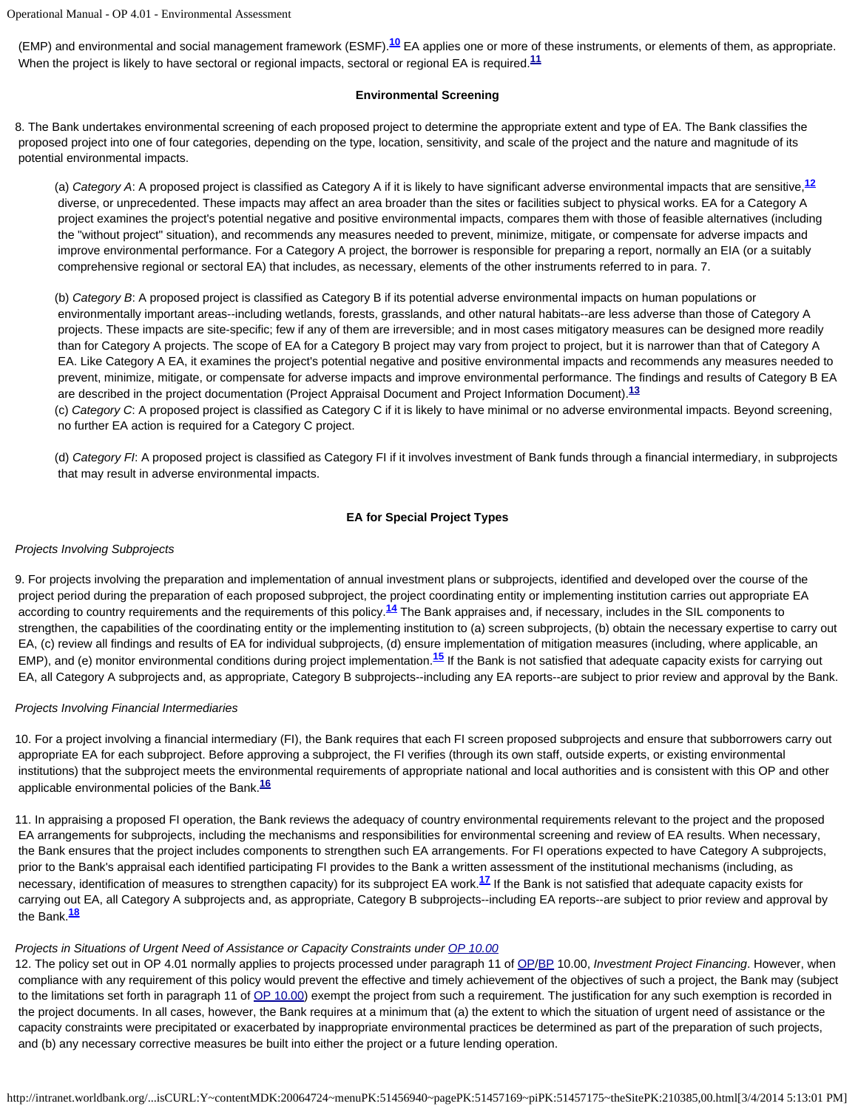(EMP) and environmental and social management framework (ESMF).**[10](#page-2-9)** EA applies one or more of these instruments, or elements of them, as appropriate. When the project is likely to have sectoral or regional impacts, sectoral or regional EA is required.**[11](#page-3-0)**

## **Environmental Screening**

8. The Bank undertakes environmental screening of each proposed project to determine the appropriate extent and type of EA. The Bank classifies the proposed project into one of four categories, depending on the type, location, sensitivity, and scale of the project and the nature and magnitude of its potential environmental impacts.

(a) *Category A*: A proposed project is classified as Category A if it is likely to have significant adverse environmental impacts that are sensitive,**[12](#page-3-1)** diverse, or unprecedented. These impacts may affect an area broader than the sites or facilities subject to physical works. EA for a Category A project examines the project's potential negative and positive environmental impacts, compares them with those of feasible alternatives (including the "without project" situation), and recommends any measures needed to prevent, minimize, mitigate, or compensate for adverse impacts and improve environmental performance. For a Category A project, the borrower is responsible for preparing a report, normally an EIA (or a suitably comprehensive regional or sectoral EA) that includes, as necessary, elements of the other instruments referred to in para. 7.

(b) *Category B*: A proposed project is classified as Category B if its potential adverse environmental impacts on human populations or environmentally important areas--including wetlands, forests, grasslands, and other natural habitats--are less adverse than those of Category A projects. These impacts are site-specific; few if any of them are irreversible; and in most cases mitigatory measures can be designed more readily than for Category A projects. The scope of EA for a Category B project may vary from project to project, but it is narrower than that of Category A EA. Like Category A EA, it examines the project's potential negative and positive environmental impacts and recommends any measures needed to prevent, minimize, mitigate, or compensate for adverse impacts and improve environmental performance. The findings and results of Category B EA are described in the project documentation (Project Appraisal Document and Project Information Document).**[13](#page-3-2)**

(c) *Category C*: A proposed project is classified as Category C if it is likely to have minimal or no adverse environmental impacts. Beyond screening, no further EA action is required for a Category C project.

(d) *Category FI*: A proposed project is classified as Category FI if it involves investment of Bank funds through a financial intermediary, in subprojects that may result in adverse environmental impacts.

## **EA for Special Project Types**

### *Projects Involving Subprojects*

9. For projects involving the preparation and implementation of annual investment plans or subprojects, identified and developed over the course of the project period during the preparation of each proposed subproject, the project coordinating entity or implementing institution carries out appropriate EA according to country requirements and the requirements of this policy.**[14](#page-3-3)** The Bank appraises and, if necessary, includes in the SIL components to strengthen, the capabilities of the coordinating entity or the implementing institution to (a) screen subprojects, (b) obtain the necessary expertise to carry out EA, (c) review all findings and results of EA for individual subprojects, (d) ensure implementation of mitigation measures (including, where applicable, an EMP), and (e) monitor environmental conditions during project implementation.**[15](#page-3-4)** If the Bank is not satisfied that adequate capacity exists for carrying out EA, all Category A subprojects and, as appropriate, Category B subprojects--including any EA reports--are subject to prior review and approval by the Bank.

#### *Projects Involving Financial Intermediaries*

10. For a project involving a financial intermediary (FI), the Bank requires that each FI screen proposed subprojects and ensure that subborrowers carry out appropriate EA for each subproject. Before approving a subproject, the FI verifies (through its own staff, outside experts, or existing environmental institutions) that the subproject meets the environmental requirements of appropriate national and local authorities and is consistent with this OP and other applicable environmental policies of the Bank.**[16](#page-3-5)**

11. In appraising a proposed FI operation, the Bank reviews the adequacy of country environmental requirements relevant to the project and the proposed EA arrangements for subprojects, including the mechanisms and responsibilities for environmental screening and review of EA results. When necessary, the Bank ensures that the project includes components to strengthen such EA arrangements. For FI operations expected to have Category A subprojects, prior to the Bank's appraisal each identified participating FI provides to the Bank a written assessment of the institutional mechanisms (including, as necessary, identification of measures to strengthen capacity) for its subproject EA work.**[17](#page-3-6)** If the Bank is not satisfied that adequate capacity exists for carrying out EA, all Category A subprojects and, as appropriate, Category B subprojects--including EA reports--are subject to prior review and approval by the Bank.**[18](#page-3-7)**

## *Projects in Situations of Urgent Need of Assistance or Capacity Constraints under [OP 10.00](http://intranet.worldbank.org/WBSITE/INTRANET/OPSMANUAL/0,,print:Y~isCURL:Y~contentMDK:20064659~menuPK:51456940~pagePK:51457169~piPK:51457175~theSitePK:210385~isCURL:Y,00.html)*

12. The policy set out in OP 4.01 normally applies to projects processed under paragraph 11 of [OP](http://intranet.worldbank.org/WBSITE/INTRANET/OPSMANUAL/0,,print:Y~isCURL:Y~contentMDK:20064659~menuPK:51456940~pagePK:51457169~piPK:51457175~theSitePK:210385~isCURL:Y,00.html)[/BP](http://intranet.worldbank.org/WBSITE/INTRANET/OPSMANUAL/0,,print:Y~isCURL:Y~contentMDK:20064538~menuPK:51456940~pagePK:51457169~piPK:51457175~theSitePK:210385~isCURL:Y,00.html) 10.00, *Investment Project Financing*. However, when compliance with any requirement of this policy would prevent the effective and timely achievement of the objectives of such a project, the Bank may (subject to the limitations set forth in paragraph 11 of [OP 10.00](http://intranet.worldbank.org/WBSITE/INTRANET/OPSMANUAL/0,,print:Y~isCURL:Y~contentMDK:20064659~menuPK:51456940~pagePK:51457169~piPK:51457175~theSitePK:210385~isCURL:Y,00.html)) exempt the project from such a requirement. The justification for any such exemption is recorded in the project documents. In all cases, however, the Bank requires at a minimum that (a) the extent to which the situation of urgent need of assistance or the capacity constraints were precipitated or exacerbated by inappropriate environmental practices be determined as part of the preparation of such projects, and (b) any necessary corrective measures be built into either the project or a future lending operation.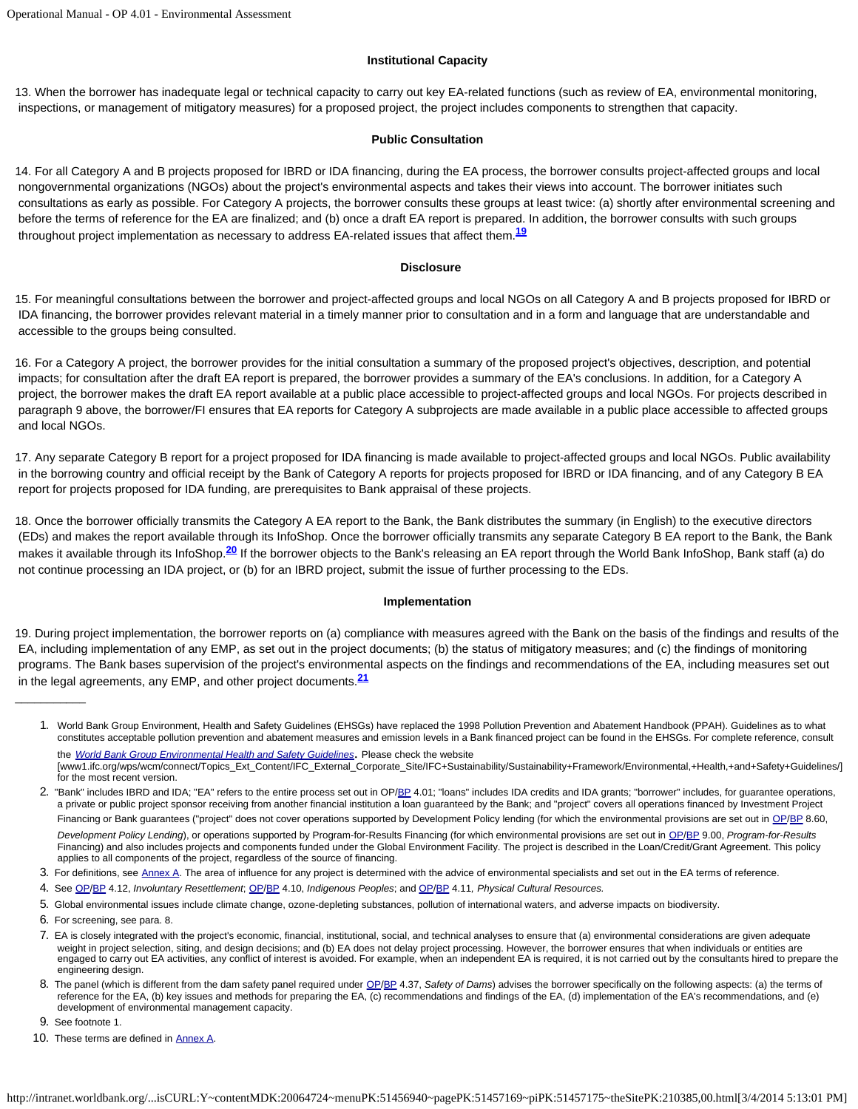### **Institutional Capacity**

13. When the borrower has inadequate legal or technical capacity to carry out key EA-related functions (such as review of EA, environmental monitoring, inspections, or management of mitigatory measures) for a proposed project, the project includes components to strengthen that capacity.

## **Public Consultation**

14. For all Category A and B projects proposed for IBRD or IDA financing, during the EA process, the borrower consults project-affected groups and local nongovernmental organizations (NGOs) about the project's environmental aspects and takes their views into account. The borrower initiates such consultations as early as possible. For Category A projects, the borrower consults these groups at least twice: (a) shortly after environmental screening and before the terms of reference for the EA are finalized; and (b) once a draft EA report is prepared. In addition, the borrower consults with such groups throughout project implementation as necessary to address EA-related issues that affect them.**[19](#page-3-8)**

#### **Disclosure**

15. For meaningful consultations between the borrower and project-affected groups and local NGOs on all Category A and B projects proposed for IBRD or IDA financing, the borrower provides relevant material in a timely manner prior to consultation and in a form and language that are understandable and accessible to the groups being consulted.

16. For a Category A project, the borrower provides for the initial consultation a summary of the proposed project's objectives, description, and potential impacts; for consultation after the draft EA report is prepared, the borrower provides a summary of the EA's conclusions. In addition, for a Category A project, the borrower makes the draft EA report available at a public place accessible to project-affected groups and local NGOs. For projects described in paragraph 9 above, the borrower/FI ensures that EA reports for Category A subprojects are made available in a public place accessible to affected groups and local NGOs.

17. Any separate Category B report for a project proposed for IDA financing is made available to project-affected groups and local NGOs. Public availability in the borrowing country and official receipt by the Bank of Category A reports for projects proposed for IBRD or IDA financing, and of any Category B EA report for projects proposed for IDA funding, are prerequisites to Bank appraisal of these projects.

18. Once the borrower officially transmits the Category A EA report to the Bank, the Bank distributes the summary (in English) to the executive directors (EDs) and makes the report available through its InfoShop. Once the borrower officially transmits any separate Category B EA report to the Bank, the Bank makes it available through its InfoShop.**[20](#page-3-9)** If the borrower objects to the Bank's releasing an EA report through the World Bank InfoShop, Bank staff (a) do not continue processing an IDA project, or (b) for an IBRD project, submit the issue of further processing to the EDs.

#### **Implementation**

<span id="page-2-0"></span>19. During project implementation, the borrower reports on (a) compliance with measures agreed with the Bank on the basis of the findings and results of the EA, including implementation of any EMP, as set out in the project documents; (b) the status of mitigatory measures; and (c) the findings of monitoring programs. The Bank bases supervision of the project's environmental aspects on the findings and recommendations of the EA, including measures set out in the legal agreements, any EMP, and other project documents.**[21](#page-3-10)**

<span id="page-2-6"></span><span id="page-2-5"></span><span id="page-2-4"></span>3. For definitions, see [Annex A](http://intranet.worldbank.org/WBSITE/INTRANET/OPSMANUAL/0,,print:Y~isCURL:Y~contentMDK:20066691~menuPK:51456940~pagePK:51457169~piPK:51457175~theSitePK:210385~isCURL:Y,00.html). The area of influence for any project is determined with the advice of environmental specialists and set out in the EA terms of reference.

5. Global environmental issues include climate change, ozone-depleting substances, pollution of international waters, and adverse impacts on biodiversity.

<span id="page-2-1"></span> $\overline{\phantom{a}}$ 

<sup>1.</sup> World Bank Group Environment, Health and Safety Guidelines (EHSGs) have replaced the 1998 Pollution Prevention and Abatement Handbook (PPAH). Guidelines as to what constitutes acceptable pollution prevention and abatement measures and emission levels in a Bank financed project can be found in the EHSGs. For complete reference, consult the *[World Bank Group Environmental Health and Safety Guidelines](http://www1.ifc.org/wps/wcm/connect/Topics_Ext_Content/IFC_External_Corporate_Site/IFC+Sustainability/Sustainability+Framework/Environmental,+Health,+and+Safety+Guidelines/)*. Please check the website [www1.ifc.org/wps/wcm/connect/Topics\_Ext\_Content/IFC\_External\_Corporate\_Site/IFC+Sustainability/Sustainability+Framework/Environmental,+Health,+and+Safety+Guidelines/]

for the most recent version.

<span id="page-2-3"></span><span id="page-2-2"></span><sup>2. &</sup>quot;Bank" includes IBRD and IDA; "EA" refers to the entire process set out in OP/[BP](http://intranet.worldbank.org/WBSITE/INTRANET/OPSMANUAL/0,,print:Y~isCURL:Y~contentMDK:20064614~menuPK:51456940~pagePK:51457169~piPK:51457175~theSitePK:210385~isCURL:Y,00.html) 4.01; "loans" includes IDA credits and IDA grants; "borrower" includes, for guarantee operations, a private or public project sponsor receiving from another financial institution a loan guaranteed by the Bank; and "project" covers all operations financed by Investment Project Financing or Bank guarantees ("project" does not cover operations supported by Development Policy lending (for which the environmental provisions are set out in [OP](http://intranet.worldbank.org/WBSITE/INTRANET/OPSMANUAL/0,,print:Y~isCURL:Y~contentMDK:20240031~menuPK:51456940~pagePK:51457169~piPK:51457175~theSitePK:210385~isCURL:Y,00.html)/[BP](http://intranet.worldbank.org/WBSITE/INTRANET/OPSMANUAL/0,,print:Y~isCURL:Y~contentMDK:20240103~menuPK:51456940~pagePK:51457169~piPK:51457175~theSitePK:210385~isCURL:Y,00.html) 8.60,

*Development Policy Lending*), or operations supported by Program-for-Results Financing (for which environmental provisions are set out in [OP](http://intranet.worldbank.org/WBSITE/INTRANET/OPSMANUAL/0,,print:Y~isCURL:Y~contentMDK:23101116~menuPK:51456940~pagePK:51457169~piPK:51457175~theSitePK:210385~isCURL:Y,00.html)[/BP](http://intranet.worldbank.org/WBSITE/INTRANET/OPSMANUAL/0,,print:Y~isCURL:Y~contentMDK:23105603~menuPK:51456940~pagePK:51457169~piPK:51457175~theSitePK:210385~isCURL:Y,00.html) 9.00, *Program-for-Results* Financing) and also includes projects and components funded under the Global Environment Facility. The project is described in the Loan/Credit/Grant Agreement. This policy applies to all components of the project, regardless of the source of financing.

<sup>4.</sup> See [OP](http://intranet.worldbank.org/WBSITE/INTRANET/OPSMANUAL/0,,print:Y~isCURL:Y~contentMDK:20064610~menuPK:51456940~pagePK:51457169~piPK:51457175~theSitePK:210385~isCURL:Y,00.html)[/BP](http://intranet.worldbank.org/WBSITE/INTRANET/OPSMANUAL/0,,print:Y~isCURL:Y~contentMDK:20064675~menuPK:51456940~pagePK:51457169~piPK:51457175~theSitePK:210385~isCURL:Y,00.html) 4.12, *Involuntary Resettlement*; [OP](http://intranet.worldbank.org/WBSITE/INTRANET/OPSMANUAL/0,,print:Y~isCURL:Y~contentMDK:20553653~menuPK:51456940~pagePK:51457169~piPK:51457175~theSitePK:210385~isCURL:Y,00.html)[/BP](http://intranet.worldbank.org/WBSITE/INTRANET/OPSMANUAL/0,,print:Y~isCURL:Y~contentMDK:20553664~menuPK:51456940~pagePK:51457169~piPK:51457175~theSitePK:210385~isCURL:Y,00.html) 4.10, *Indigenous Peoples*; and [OP](http://intranet.worldbank.org/WBSITE/INTRANET/OPSMANUAL/0,,print:Y~isCURL:Y~contentMDK:20970737~menuPK:51456940~pagePK:51457169~piPK:51457175~theSitePK:210385~isCURL:Y,00.html)[/BP](http://intranet.worldbank.org/WBSITE/INTRANET/OPSMANUAL/0,,print:Y~isCURL:Y~contentMDK:20970738~menuPK:51456940~pagePK:51457169~piPK:51457175~theSitePK:210385~isCURL:Y,00.html) 4.11*, Physical Cultural Resources.*

<span id="page-2-7"></span><sup>6.</sup> For screening, see para. 8.

<sup>7.</sup> EA is closely integrated with the project's economic, financial, institutional, social, and technical analyses to ensure that (a) environmental considerations are given adequate weight in project selection, siting, and design decisions; and (b) EA does not delay project processing. However, the borrower ensures that when individuals or entities are engaged to carry out EA activities, any conflict of interest is avoided. For example, when an independent EA is required, it is not carried out by the consultants hired to prepare the engineering design.

<span id="page-2-8"></span><sup>8.</sup> The panel (which is different from the dam safety panel required under [OP](http://intranet.worldbank.org/WBSITE/INTRANET/OPSMANUAL/0,,print:Y~isCURL:Y~contentMDK:20064653~menuPK:51456940~pagePK:51457169~piPK:51457175~theSitePK:210385~isCURL:Y,00.html)[/BP](http://intranet.worldbank.org/WBSITE/INTRANET/OPSMANUAL/0,,print:Y~isCURL:Y~contentMDK:20064589~menuPK:51456940~pagePK:51457169~piPK:51457175~theSitePK:210385~isCURL:Y,00.html) 4.37, *Safety of Dams*) advises the borrower specifically on the following aspects: (a) the terms of reference for the EA, (b) key issues and methods for preparing the EA, (c) recommendations and findings of the EA, (d) implementation of the EA's recommendations, and (e) development of environmental management capacity.

<sup>9.</sup> See footnote 1.

<span id="page-2-9"></span><sup>10.</sup> These terms are defined in [Annex A](http://intranet.worldbank.org/WBSITE/INTRANET/OPSMANUAL/0,,print:Y~isCURL:Y~contentMDK:20066691~menuPK:51456940~pagePK:51457169~piPK:51457175~theSitePK:210385~isCURL:Y,00.html).